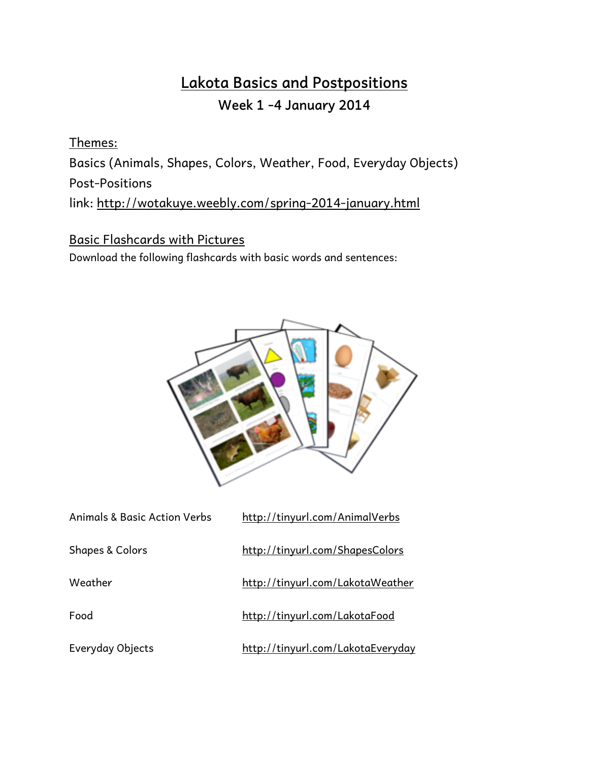# **Lakota Basics and Postpositions Week 1 -4 January 2014**

Themes:

Basics (Animals, Shapes, Colors, Weather, Food, Everyday Objects) Post-Positions

link: <http://wotakuye.weebly.com/spring-2014-january.html>

#### Basic Flashcards with Pictures

Download the following flashcards with basic words and sentences:



| <b>Animals &amp; Basic Action Verbs</b> | http://tinyurl.com/AnimalVerbs    |
|-----------------------------------------|-----------------------------------|
| <b>Shapes &amp; Colors</b>              | http://tinyurl.com/ShapesColors   |
| Weather                                 | http://tinyurl.com/LakotaWeather  |
| Food                                    | http://tinyurl.com/LakotaFood     |
| Everyday Objects                        | http://tinyurl.com/LakotaEveryday |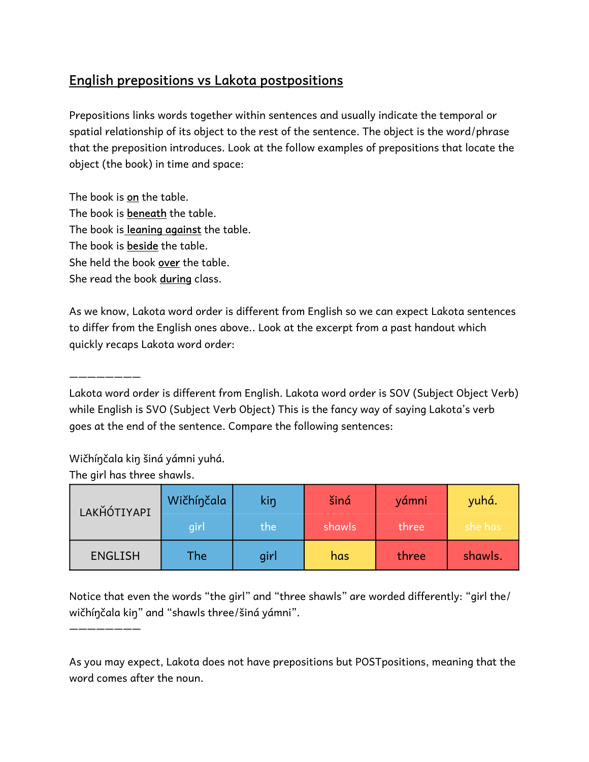### **English prepositions vs Lakota postpositions**

Prepositions links words together within sentences and usually indicate the temporal or spatial relationship of its object to the rest of the sentence. The object is the word/phrase that the preposition introduces. Look at the follow examples of prepositions that locate the object (the book) in time and space:

The book is **on** the table. The book is **beneath** the table. The book is **leaning against** the table. The book is **beside** the table. She held the book **over** the table. She read the book **during** class.

As we know, Lakota word order is different from English so we can expect Lakota sentences to differ from the English ones above.. Look at the excerpt from a past handout which quickly recaps Lakota word order:

Lakota word order is different from English. Lakota word order is SOV (Subject Object Verb) while English is SVO (Subject Verb Object) This is the fancy way of saying Lakota's verb goes at the end of the sentence. Compare the following sentences:

Wičhíŋčala kiŋ šiná yámni yuhá.

The girl has three shawls.

————————

————————

| LAKHÓTIYAPI    | Wičhínčala | kin  | šiná   | yámni | yuhá.   |
|----------------|------------|------|--------|-------|---------|
|                | girl       | the  | shawls | three | she has |
| <b>ENGLISH</b> | The        | girl | has    | three | shawls. |

Notice that even the words "the girl" and "three shawls" are worded differently: "girl the/ wičhíŋčala kiŋ" and "shawls three/šiná yámni".

As you may expect, Lakota does not have prepositions but POSTpositions, meaning that the word comes after the noun.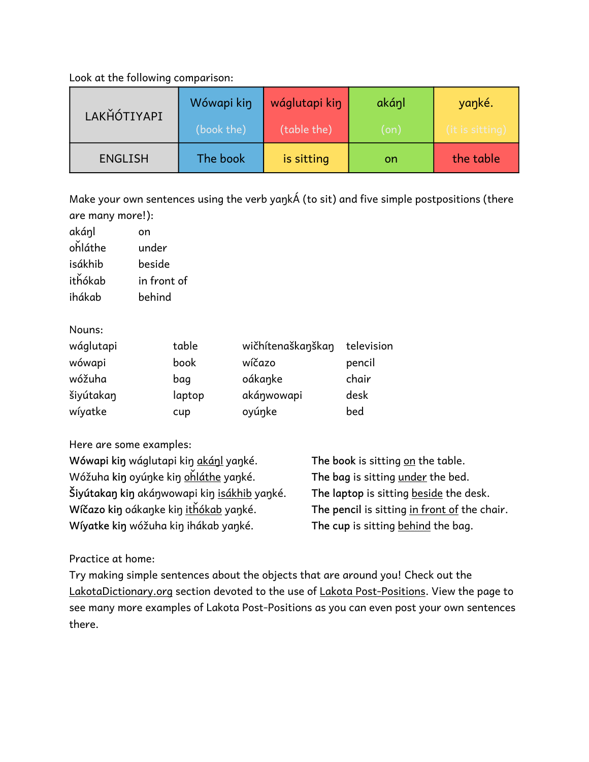Look at the following comparison:

| LAKHÓTIYAPI    | Wówapi kin | wáglutapi kin | akánl      | yanké.          |
|----------------|------------|---------------|------------|-----------------|
|                | (book the) | (table the)   | $($ on $)$ | (it is sitting) |
| <b>ENGLISH</b> | The book   | is sitting    | on         | the table       |

Make your own sentences using the verb yaŋkÁ (to sit) and five simple postpositions (there are many more!):

| akánl   | on          |
|---------|-------------|
| ohláthe | under       |
| isákhib | beside      |
| ithókab | in front of |
| ihákab  | behind      |

Nouns:

| wáglutapi | table  | wičhítenaškanškan | television |
|-----------|--------|-------------------|------------|
| wówapi    | book   | wíčazo            | pencil     |
| wóžuha    | bag    | oákanke           | chair      |
| šiyútakan | laptop | akánwowapi        | desk       |
| wíyatke   | cup    | oyúnke            | bed        |

Here are some examples:

| Wówapi kin wáglutapi kin akánl yanké.       | The book is sitting on the table.            |
|---------------------------------------------|----------------------------------------------|
| Wóžuha kin oyúnke kin ohláthe yanké.        | The bag is sitting under the bed.            |
| Šiyútakan kin akánwowapi kin isákhib yanké. | The laptop is sitting beside the desk.       |
| Wíčazo kin oákanke kin ithókab yanké.       | The pencil is sitting in front of the chair. |
| Wíyatke kin wóžuha kin ihákab yanké.        | The cup is sitting behind the bag.           |

Practice at home:

Try making simple sentences about the objects that are around you! Check out the LakotaDictionary.org section devoted to the use of Lakota Post-Positions. View the page to see many more examples of Lakota Post-Positions as you can even post your own sentences there.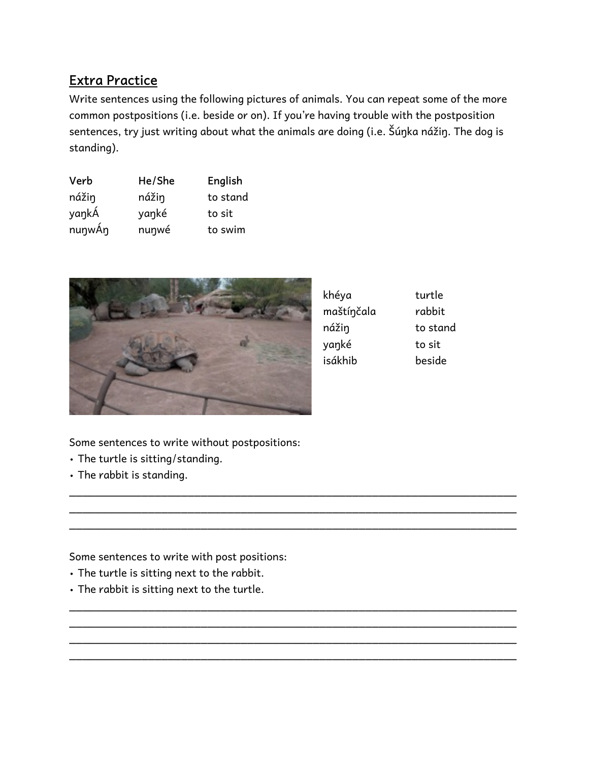#### **Extra Practice**

Write sentences using the following pictures of animals. You can repeat some of the more common postpositions (i.e. beside or on). If you're having trouble with the postposition sentences, try just writing about what the animals are doing (i.e. Šúŋka nážiŋ. The dog is standing).

\_\_\_\_\_\_\_\_\_\_\_\_\_\_\_\_\_\_\_\_\_\_\_\_\_\_\_\_\_\_\_\_\_\_\_\_\_\_\_\_\_\_\_\_\_\_\_\_\_\_\_\_\_\_\_\_\_\_\_\_\_\_\_\_\_\_\_\_ \_\_\_\_\_\_\_\_\_\_\_\_\_\_\_\_\_\_\_\_\_\_\_\_\_\_\_\_\_\_\_\_\_\_\_\_\_\_\_\_\_\_\_\_\_\_\_\_\_\_\_\_\_\_\_\_\_\_\_\_\_\_\_\_\_\_\_\_ \_\_\_\_\_\_\_\_\_\_\_\_\_\_\_\_\_\_\_\_\_\_\_\_\_\_\_\_\_\_\_\_\_\_\_\_\_\_\_\_\_\_\_\_\_\_\_\_\_\_\_\_\_\_\_\_\_\_\_\_\_\_\_\_\_\_\_\_

\_\_\_\_\_\_\_\_\_\_\_\_\_\_\_\_\_\_\_\_\_\_\_\_\_\_\_\_\_\_\_\_\_\_\_\_\_\_\_\_\_\_\_\_\_\_\_\_\_\_\_\_\_\_\_\_\_\_\_\_\_\_\_\_\_\_\_\_ \_\_\_\_\_\_\_\_\_\_\_\_\_\_\_\_\_\_\_\_\_\_\_\_\_\_\_\_\_\_\_\_\_\_\_\_\_\_\_\_\_\_\_\_\_\_\_\_\_\_\_\_\_\_\_\_\_\_\_\_\_\_\_\_\_\_\_\_ \_\_\_\_\_\_\_\_\_\_\_\_\_\_\_\_\_\_\_\_\_\_\_\_\_\_\_\_\_\_\_\_\_\_\_\_\_\_\_\_\_\_\_\_\_\_\_\_\_\_\_\_\_\_\_\_\_\_\_\_\_\_\_\_\_\_\_\_ \_\_\_\_\_\_\_\_\_\_\_\_\_\_\_\_\_\_\_\_\_\_\_\_\_\_\_\_\_\_\_\_\_\_\_\_\_\_\_\_\_\_\_\_\_\_\_\_\_\_\_\_\_\_\_\_\_\_\_\_\_\_\_\_\_\_\_\_

| Verb   | He/She | English  |
|--------|--------|----------|
| nážin  | nážin  | to stand |
| yankÁ  | yanké  | to sit   |
| nunwÁn | nunwé  | to swim  |



| khéya      | turtle   |
|------------|----------|
| maštínčala | rabbit   |
| nážin      | to stand |
| yanké      | to sit   |
| isákhib    | beside   |

Some sentences to write without postpositions:

- The turtle is sitting/standing.
- The rabbit is standing.

Some sentences to write with post positions:

- The turtle is sitting next to the rabbit.
- The rabbit is sitting next to the turtle.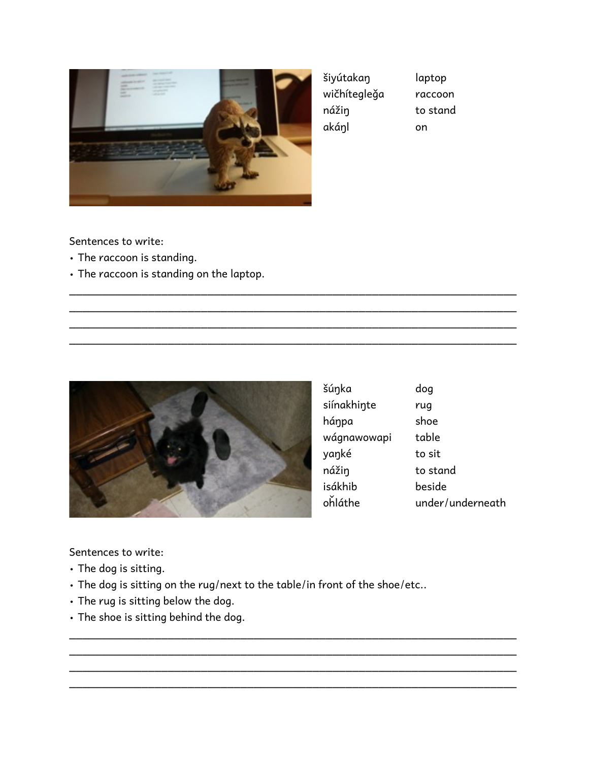

| šiyútakan    |  |
|--------------|--|
| wičhítegleğa |  |
| nážin        |  |
| akánl        |  |

laptop raccoon to stand

on

Sentences to write:

- The raccoon is standing.
- The raccoon is standing on the laptop.



| šúnka       | dog              |
|-------------|------------------|
| siínakhinte | rug              |
| háŋpa       | shoe             |
| wágnawowapi | table            |
| yanké       | to sit           |
| nážiŋ       | to stand         |
| isákhib     | beside           |
| ohláthe     | under/underneath |

Sentences to write:

- The dog is sitting.
- The dog is sitting on the rug/next to the table/in front of the shoe/etc..

\_\_\_\_\_\_\_\_\_\_\_\_\_\_\_\_\_\_\_\_\_\_\_\_\_\_\_\_\_\_\_\_\_\_\_\_\_\_\_\_\_\_\_\_\_\_\_\_\_\_\_\_\_\_\_\_\_\_\_\_\_\_\_\_\_\_\_\_ \_\_\_\_\_\_\_\_\_\_\_\_\_\_\_\_\_\_\_\_\_\_\_\_\_\_\_\_\_\_\_\_\_\_\_\_\_\_\_\_\_\_\_\_\_\_\_\_\_\_\_\_\_\_\_\_\_\_\_\_\_\_\_\_\_\_\_\_ \_\_\_\_\_\_\_\_\_\_\_\_\_\_\_\_\_\_\_\_\_\_\_\_\_\_\_\_\_\_\_\_\_\_\_\_\_\_\_\_\_\_\_\_\_\_\_\_\_\_\_\_\_\_\_\_\_\_\_\_\_\_\_\_\_\_\_\_ \_\_\_\_\_\_\_\_\_\_\_\_\_\_\_\_\_\_\_\_\_\_\_\_\_\_\_\_\_\_\_\_\_\_\_\_\_\_\_\_\_\_\_\_\_\_\_\_\_\_\_\_\_\_\_\_\_\_\_\_\_\_\_\_\_\_\_\_

\_\_\_\_\_\_\_\_\_\_\_\_\_\_\_\_\_\_\_\_\_\_\_\_\_\_\_\_\_\_\_\_\_\_\_\_\_\_\_\_\_\_\_\_\_\_\_\_\_\_\_\_\_\_\_\_\_\_\_\_\_\_\_\_\_\_\_\_ \_\_\_\_\_\_\_\_\_\_\_\_\_\_\_\_\_\_\_\_\_\_\_\_\_\_\_\_\_\_\_\_\_\_\_\_\_\_\_\_\_\_\_\_\_\_\_\_\_\_\_\_\_\_\_\_\_\_\_\_\_\_\_\_\_\_\_\_ \_\_\_\_\_\_\_\_\_\_\_\_\_\_\_\_\_\_\_\_\_\_\_\_\_\_\_\_\_\_\_\_\_\_\_\_\_\_\_\_\_\_\_\_\_\_\_\_\_\_\_\_\_\_\_\_\_\_\_\_\_\_\_\_\_\_\_\_ \_\_\_\_\_\_\_\_\_\_\_\_\_\_\_\_\_\_\_\_\_\_\_\_\_\_\_\_\_\_\_\_\_\_\_\_\_\_\_\_\_\_\_\_\_\_\_\_\_\_\_\_\_\_\_\_\_\_\_\_\_\_\_\_\_\_\_\_

- The rug is sitting below the dog.
- The shoe is sitting behind the dog.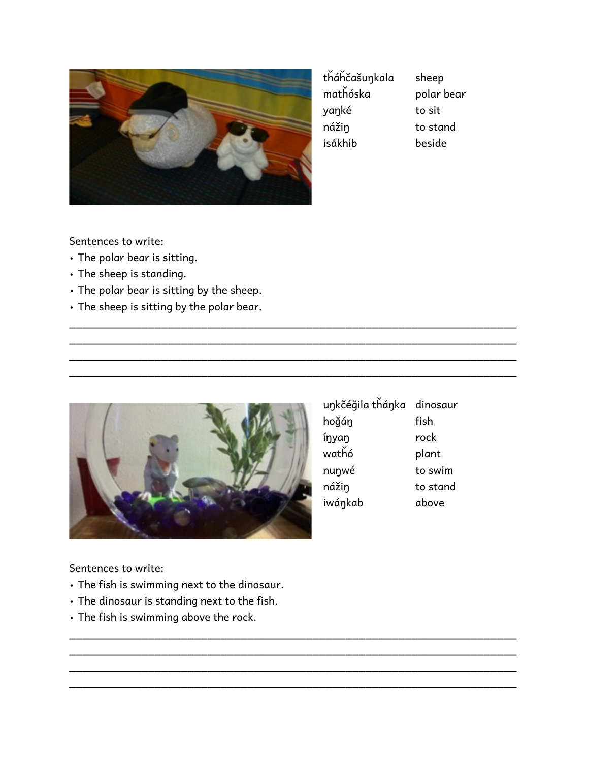

| tháhčašunkala | sheep      |
|---------------|------------|
| mathóska      | polar bear |
| yanké         | to sit     |
| nážiŋ         | to stand   |
| isákhib       | beside     |

Sentences to write:

- The polar bear is sitting.
- The sheep is standing.
- The polar bear is sitting by the sheep.
- The sheep is sitting by the polar bear.



| unkčéğila thánka dinosaur |          |
|---------------------------|----------|
| hoğáŋ                     | fish     |
| íŋyaŋ                     | rock     |
| wathó                     | plant    |
| nunwé                     | to swim  |
| nážiŋ                     | to stand |
| iwáŋkab                   | above    |

\_\_\_\_\_\_\_\_\_\_\_\_\_\_\_\_\_\_\_\_\_\_\_\_\_\_\_\_\_\_\_\_\_\_\_\_\_\_\_\_\_\_\_\_\_\_\_\_\_\_\_\_\_\_\_\_\_\_\_\_\_\_\_\_\_\_\_\_ \_\_\_\_\_\_\_\_\_\_\_\_\_\_\_\_\_\_\_\_\_\_\_\_\_\_\_\_\_\_\_\_\_\_\_\_\_\_\_\_\_\_\_\_\_\_\_\_\_\_\_\_\_\_\_\_\_\_\_\_\_\_\_\_\_\_\_\_ \_\_\_\_\_\_\_\_\_\_\_\_\_\_\_\_\_\_\_\_\_\_\_\_\_\_\_\_\_\_\_\_\_\_\_\_\_\_\_\_\_\_\_\_\_\_\_\_\_\_\_\_\_\_\_\_\_\_\_\_\_\_\_\_\_\_\_\_ \_\_\_\_\_\_\_\_\_\_\_\_\_\_\_\_\_\_\_\_\_\_\_\_\_\_\_\_\_\_\_\_\_\_\_\_\_\_\_\_\_\_\_\_\_\_\_\_\_\_\_\_\_\_\_\_\_\_\_\_\_\_\_\_\_\_\_\_

\_\_\_\_\_\_\_\_\_\_\_\_\_\_\_\_\_\_\_\_\_\_\_\_\_\_\_\_\_\_\_\_\_\_\_\_\_\_\_\_\_\_\_\_\_\_\_\_\_\_\_\_\_\_\_\_\_\_\_\_\_\_\_\_\_\_\_\_ \_\_\_\_\_\_\_\_\_\_\_\_\_\_\_\_\_\_\_\_\_\_\_\_\_\_\_\_\_\_\_\_\_\_\_\_\_\_\_\_\_\_\_\_\_\_\_\_\_\_\_\_\_\_\_\_\_\_\_\_\_\_\_\_\_\_\_\_ \_\_\_\_\_\_\_\_\_\_\_\_\_\_\_\_\_\_\_\_\_\_\_\_\_\_\_\_\_\_\_\_\_\_\_\_\_\_\_\_\_\_\_\_\_\_\_\_\_\_\_\_\_\_\_\_\_\_\_\_\_\_\_\_\_\_\_\_ \_\_\_\_\_\_\_\_\_\_\_\_\_\_\_\_\_\_\_\_\_\_\_\_\_\_\_\_\_\_\_\_\_\_\_\_\_\_\_\_\_\_\_\_\_\_\_\_\_\_\_\_\_\_\_\_\_\_\_\_\_\_\_\_\_\_\_\_

Sentences to write:

- The fish is swimming next to the dinosaur.
- The dinosaur is standing next to the fish.
- The fish is swimming above the rock.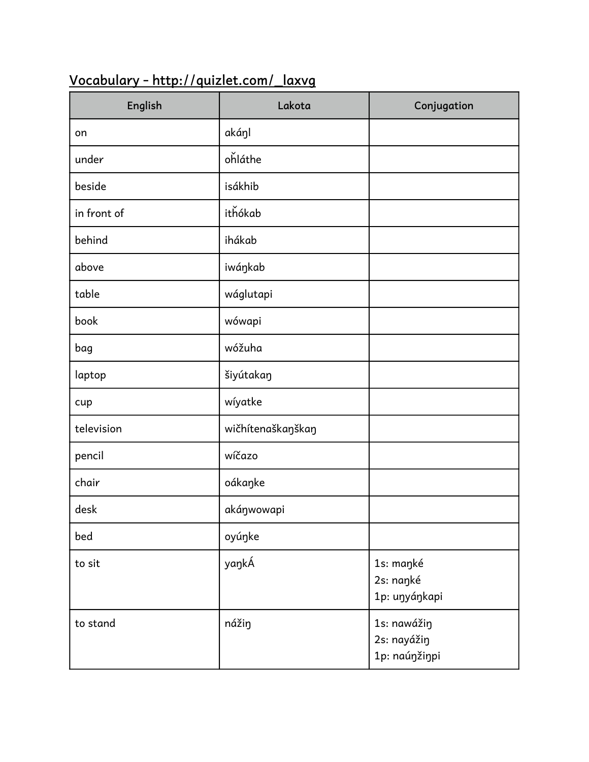| English     | Lakota            | Conjugation                                 |
|-------------|-------------------|---------------------------------------------|
| on          | akáŋl             |                                             |
| under       | ohláthe           |                                             |
| beside      | isákhib           |                                             |
| in front of | ithókab           |                                             |
| behind      | ihákab            |                                             |
| above       | iwáŋkab           |                                             |
| table       | wáglutapi         |                                             |
| book        | wówapi            |                                             |
| bag         | wóžuha            |                                             |
| laptop      | šiyútakaŋ         |                                             |
| cup         | wíyatke           |                                             |
| television  | wičhítenaškaŋškaŋ |                                             |
| pencil      | wíčazo            |                                             |
| chair       | oákaŋke           |                                             |
| desk        | akáŋwowapi        |                                             |
| bed         | oyúŋke            |                                             |
| to sit      | yaŋkÁ             | 1s: maŋké<br>2s: naŋké<br>1p: uŋyáŋkapi     |
| to stand    | nážin             | 1s: nawážiŋ<br>2s: nayážin<br>1p: naúŋžiŋpi |

## **Vocabulary - http://quizlet.com/\_laxvg**